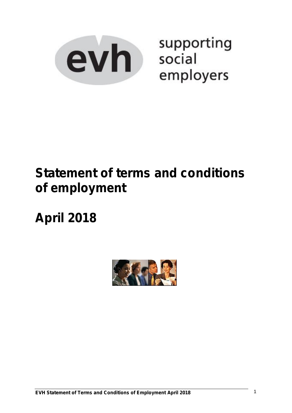

supporting social employers

# **Statement of terms and conditions of employment**

**April 2018**

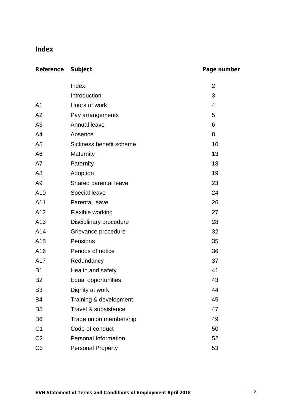# **Index**

# **Reference Subject Page number**

|                | Index                       | $\overline{2}$ |
|----------------|-----------------------------|----------------|
|                | Introduction                | 3              |
| A <sub>1</sub> | Hours of work               | 4              |
| A2             | Pay arrangements            | 5              |
| A3             | Annual leave                | 6              |
| A4             | Absence                     | 8              |
| A <sub>5</sub> | Sickness benefit scheme     | 10             |
| A <sub>6</sub> | Maternity                   | 13             |
| A7             | Paternity                   | 18             |
| A <sub>8</sub> | Adoption                    | 19             |
| A <sub>9</sub> | Shared parental leave       | 23             |
| A10            | Special leave               | 24             |
| A11            | <b>Parental leave</b>       | 26             |
| A12            | Flexible working            | 27             |
| A13            | Disciplinary procedure      | 28             |
| A14            | Grievance procedure         | 32             |
| A15            | Pensions                    | 35             |
| A16            | Periods of notice           | 36             |
| A17            | Redundancy                  | 37             |
| <b>B1</b>      | Health and safety           | 41             |
| <b>B2</b>      | Equal opportunities         | 43             |
| B <sub>3</sub> | Dignity at work             | 44             |
| B4             | Training & development      | 45             |
| B <sub>5</sub> | Travel & subsistence        | 47             |
| B <sub>6</sub> | Trade union membership      | 49             |
| C <sub>1</sub> | Code of conduct             | 50             |
| C <sub>2</sub> | <b>Personal Information</b> | 52             |
| C <sub>3</sub> | <b>Personal Property</b>    | 53             |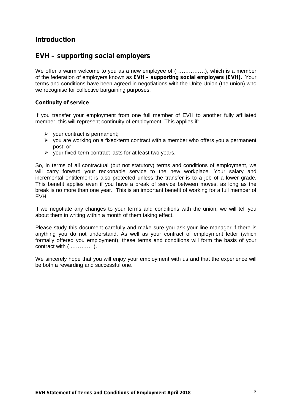# **Introduction**

# **EVH – supporting social employers**

We offer a warm welcome to you as a new employee of (................), which is a member of the federation of employers known as **EVH – supporting social employers (EVH).** Your terms and conditions have been agreed in negotiations with the Unite Union (the union) who we recognise for collective bargaining purposes.

#### **Continuity of service**

If you transfer your employment from one full member of EVH to another fully affiliated member, this will represent continuity of employment. This applies if:

- $\triangleright$  your contract is permanent;
- $\triangleright$  you are working on a fixed-term contract with a member who offers you a permanent post; or
- $\triangleright$  your fixed-term contract lasts for at least two years.

So, in terms of all contractual (but not statutory) terms and conditions of employment, we will carry forward your reckonable service to the new workplace. Your salary and incremental entitlement is also protected unless the transfer is to a job of a lower grade. This benefit applies even if you have a break of service between moves, as long as the break is no more than one year. This is an important benefit of working for a full member of EVH.

If we negotiate any changes to your terms and conditions with the union, we will tell you about them in writing within a month of them taking effect.

Please study this document carefully and make sure you ask your line manager if there is anything you do not understand. As well as your contract of employment letter (which formally offered you employment), these terms and conditions will form the basis of your contract with ( ………… ).

We sincerely hope that you will enjoy your employment with us and that the experience will be both a rewarding and successful one.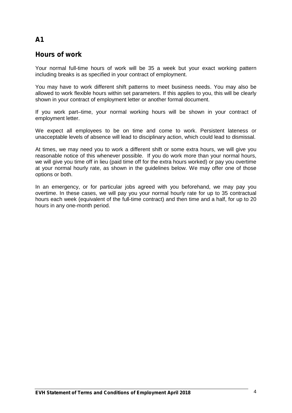# **Hours of work**

Your normal full-time hours of work will be 35 a week but your exact working pattern including breaks is as specified in your contract of employment.

You may have to work different shift patterns to meet business needs. You may also be allowed to work flexible hours within set parameters. If this applies to you, this will be clearly shown in your contract of employment letter or another formal document.

If you work part–time, your normal working hours will be shown in your contract of employment letter.

We expect all employees to be on time and come to work. Persistent lateness or unacceptable levels of absence will lead to disciplinary action, which could lead to dismissal.

At times, we may need you to work a different shift or some extra hours, we will give you reasonable notice of this whenever possible. If you do work more than your normal hours, we will give you time off in lieu (paid time off for the extra hours worked) or pay you overtime at your normal hourly rate, as shown in the guidelines below. We may offer one of those options or both.

In an emergency, or for particular jobs agreed with you beforehand, we may pay you overtime. In these cases, we will pay you your normal hourly rate for up to 35 contractual hours each week (equivalent of the full-time contract) and then time and a half, for up to 20 hours in any one-month period.

# **A1**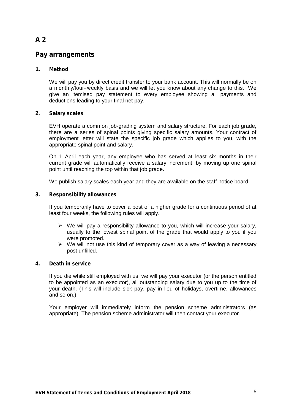# **Pay arrangements**

### **1. Method**

We will pay you by direct credit transfer to your bank account. This will normally be on a *monthly/four–weekly* basis and we will let you know about any change to this. We give an itemised pay statement to every employee showing all payments and deductions leading to your final net pay.

### **2. Salary scales**

EVH operate a common job-grading system and salary structure. For each job grade, there are a series of spinal points giving specific salary amounts. Your contract of employment letter will state the specific job grade which applies to you, with the appropriate spinal point and salary.

On 1 April each year, any employee who has served at least six months in their current grade will automatically receive a salary increment, by moving up one spinal point until reaching the top within that job grade.

We publish salary scales each year and they are available on the staff notice board.

#### **3. Responsibility allowances**

If you temporarily have to cover a post of a higher grade for a continuous period of at least four weeks, the following rules will apply.

- $\triangleright$  We will pay a responsibility allowance to you, which will increase your salary, usually to the lowest spinal point of the grade that would apply to you if you were promoted.
- $\triangleright$  We will not use this kind of temporary cover as a way of leaving a necessary post unfilled.

#### **4. Death in service**

If you die while still employed with us, we will pay your executor (or the person entitled to be appointed as an executor), all outstanding salary due to you up to the time of your death. (This will include sick pay, pay in lieu of holidays, overtime, allowances and so on.)

Your employer will immediately inform the pension scheme administrators (as appropriate). The pension scheme administrator will then contact your executor.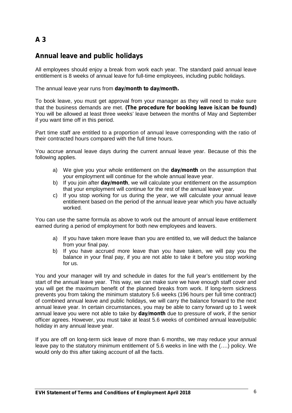# **Annual leave and public holidays**

All employees should enjoy a break from work each year. The standard paid annual leave entitlement is 8 weeks of annual leave for full-time employees, including public holidays.

The annual leave year runs from **day/month to day/month.**

To book leave, you must get approval from your manager as they will need to make sure that the business demands are met. **(The procedure for booking leave is/can be found)** You will be allowed at least three weeks' leave between the months of May and September if you want time off in this period.

Part time staff are entitled to a proportion of annual leave corresponding with the ratio of their contracted hours compared with the full time hours.

You accrue annual leave days during the current annual leave year. Because of this the following applies.

- a) We give you your whole entitlement on the **day/month** on the assumption that your employment will continue for the whole annual leave year.
- b) If you join after **day/month**, we will calculate your entitlement on the assumption that your employment will continue for the rest of the annual leave year.
- c) If you stop working for us during the year, we will calculate your annual leave entitlement based on the period of the annual leave year which you have actually worked.

You can use the same formula as above to work out the amount of annual leave entitlement earned during a period of employment for both new employees and leavers.

- a) If you have taken more leave than you are entitled to, we will deduct the balance from your final pay.
- b) If you have accrued more leave than you have taken, we will pay you the balance in your final pay, if you are not able to take it before you stop working for us.

You and your manager will try and schedule in dates for the full year's entitlement by the start of the annual leave year. This way, we can make sure we have enough staff cover and you will get the maximum benefit of the planned breaks from work. If long-term sickness prevents you from taking the minimum statutory 5.6 weeks (196 hours per full time contract) of combined annual leave and public holidays, we will carry the balance forward to the next annual leave year. In certain circumstances, you may be able to carry forward up to 1 week annual leave you were not able to take by **day/month** due to pressure of work, if the senior officer agrees. However, you must take at least 5.6 weeks of combined annual leave/public holiday in any annual leave year.

If you are off on long-term sick leave of more than 6 months, we may reduce your annual leave pay to the statutory minimum entitlement of 5.6 weeks in line with the (….) policy. We would only do this after taking account of all the facts.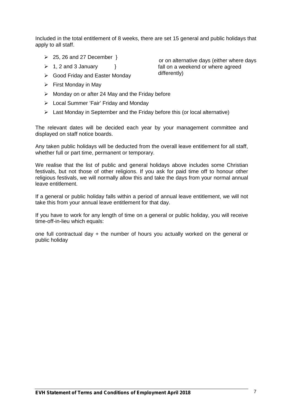Included in the total entitlement of 8 weeks, there are set 15 general and public holidays that apply to all staff.

- $\geq$  25, 26 and 27 December  $\}$
- $\triangleright$  1, 2 and 3 January }
- Good Friday and Easter Monday
- $\triangleright$  First Monday in May
- $\triangleright$  Monday on or after 24 May and the Friday before
- $\triangleright$  Local Summer 'Fair' Friday and Monday
- $\triangleright$  Last Monday in September and the Friday before this (or local alternative)

The relevant dates will be decided each year by your management committee and displayed on staff notice boards.

Any taken public holidays will be deducted from the overall leave entitlement for all staff, whether full or part time, permanent or temporary.

We realise that the list of public and general holidays above includes some Christian festivals, but not those of other religions. If you ask for paid time off to honour other religious festivals, we will normally allow this and take the days from your normal annual leave entitlement.

If a general or public holiday falls within a period of annual leave entitlement, we will not take this from your annual leave entitlement for that day.

If you have to work for any length of time on a general or public holiday, you will receive time-off-in-lieu which equals:

one full contractual day + the number of hours you actually worked on the general or public holiday

or on alternative days (either where days fall on a weekend or where agreed differently)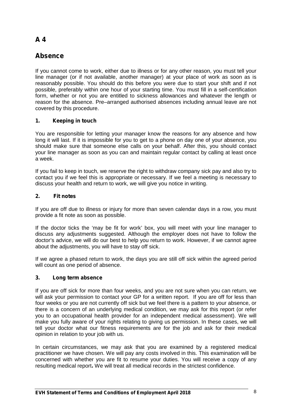# **Absence**

If you cannot come to work, either due to illness or for any other reason, you must tell your line manager (or if not available, another manager) at your place of work as soon as is reasonably possible. You should do this before you were due to start your shift and if not possible, preferably within one hour of your starting time. You must fill in a self-certification form, whether or not you are entitled to sickness allowances and whatever the length or reason for the absence. Pre–arranged authorised absences including annual leave are not covered by this procedure.

### **1. Keeping in touch**

You are responsible for letting your manager know the reasons for any absence and how long it will last. If it is impossible for you to get to a phone on day one of your absence, you should make sure that someone else calls on your behalf. After this, you should contact your line manager as soon as you can and maintain regular contact by calling at least once a week.

If you fail to keep in touch, we reserve the right to withdraw company sick pay and also try to contact you if we feel this is appropriate or necessary. If we feel a meeting is necessary to discuss your health and return to work, we will give you notice in writing.

### **2. Fit notes**

If you are off due to illness or injury for more than seven calendar days in a row, you must provide a fit note as soon as possible.

If the doctor ticks the 'may be fit for work' box, you will meet with your line manager to discuss any adjustments suggested. Although the employer does not have to follow the doctor's advice, we will do our best to help you return to work. However, if we cannot agree about the adjustments, you will have to stay off sick.

If we agree a phased return to work, the days you are still off sick within the agreed period will count as one period of absence.

### **3. Long term absence**

If you are off sick for more than four weeks, and you are not sure when you can return, we will ask your permission to contact your GP for a written report. If you are off for less than four weeks or you are not currently off sick but we feel there is a pattern to your absence, or there is a concern of an underlying medical condition, we may ask for this report (or refer you to an occupational health provider for an independent medical assessment). We will make you fully aware of your rights relating to giving us permission. In these cases, we will tell your doctor what our fitness requirements are for the job and ask for their medical opinion in relation to your job with us.

In certain circumstances, we may ask that you are examined by a registered medical practitioner we have chosen. We will pay any costs involved in this. This examination will be concerned with whether you are fit to resume your duties. You will receive a copy of any resulting medical report**.** We will treat all medical records in the strictest confidence.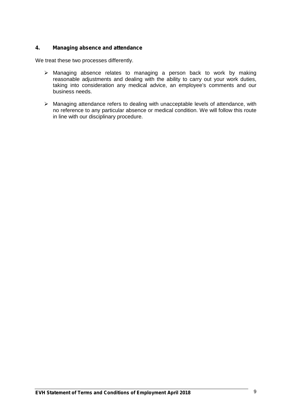### **4. Managing absence and attendance**

We treat these two processes differently.

- $\triangleright$  Managing absence relates to managing a person back to work by making reasonable adjustments and dealing with the ability to carry out your work duties, taking into consideration any medical advice, an employee's comments and our business needs.
- Managing attendance refers to dealing with unacceptable levels of attendance, with no reference to any particular absence or medical condition. We will follow this route in line with our disciplinary procedure.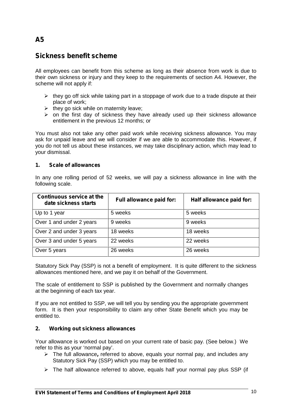# **Sickness benefit scheme**

All employees can benefit from this scheme as long as their absence from work is due to their own sickness or injury and they keep to the requirements of section A4. However, the scheme will not apply if:

- $\triangleright$  they go off sick while taking part in a stoppage of work due to a trade dispute at their place of work;
- $\triangleright$  they go sick while on maternity leave;
- $\triangleright$  on the first day of sickness they have already used up their sickness allowance entitlement in the previous 12 months; or

You must also not take any other paid work while receiving sickness allowance. You may ask for unpaid leave and we will consider if we are able to accommodate this. However, if you do not tell us about these instances, we may take disciplinary action, which may lead to your dismissal.

#### **1. Scale of allowances**

In any one rolling period of 52 weeks, we will pay a sickness allowance in line with the following scale.

| <b>Continuous service at the</b><br>date sickness starts | Full allowance paid for: | Half allowance paid for: |
|----------------------------------------------------------|--------------------------|--------------------------|
| Up to 1 year                                             | 5 weeks                  | 5 weeks                  |
| Over 1 and under 2 years                                 | 9 weeks                  | 9 weeks                  |
| Over 2 and under 3 years                                 | 18 weeks                 | 18 weeks                 |
| Over 3 and under 5 years                                 | 22 weeks                 | 22 weeks                 |
| Over 5 years                                             | 26 weeks                 | 26 weeks                 |

Statutory Sick Pay (SSP) is not a benefit of employment. It is quite different to the sickness allowances mentioned here, and we pay it on behalf of the Government.

The scale of entitlement to SSP is published by the Government and normally changes at the beginning of each tax year.

If you are not entitled to SSP, we will tell you by sending you the appropriate government form. It is then your responsibility to claim any other State Benefit which you may be entitled to.

#### **2. Working out sickness allowances**

Your allowance is worked out based on your current rate of basic pay. (See below.) We refer to this as your 'normal pay'.

- The fullallowance**,** referred to above, equals your normal pay, and includes any Statutory Sick Pay (SSP) which you may be entitled to.
- $\triangleright$  The half allowance referred to above, equals half your normal pay plus SSP (if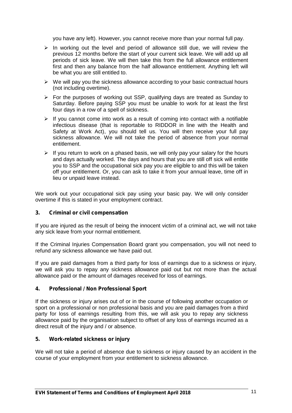you have any left). However, you cannot receive more than your normal full pay.

- $\triangleright$  In working out the level and period of allowance still due, we will review the previous 12 months before the start of your current sick leave. We will add up all periods of sick leave. We will then take this from the full allowance entitlement first and then any balance from the half allowance entitlement. Anything left will be what you are still entitled to.
- $\triangleright$  We will pay you the sickness allowance according to your basic contractual hours (not including overtime).
- $\triangleright$  For the purposes of working out SSP, qualifying days are treated as Sunday to Saturday. Before paying SSP you must be unable to work for at least the first four days in a row of a spell of sickness.
- $\triangleright$  If you cannot come into work as a result of coming into contact with a notifiable infectious disease (that is reportable to RIDDOR in line with the Health and Safety at Work Act), you should tell us. You will then receive your full pay sickness allowance. We will not take the period of absence from your normal entitlement.
- $\triangleright$  If you return to work on a phased basis, we will only pay your salary for the hours and days actually worked. The days and hours that you are still off sick will entitle you to SSP and the occupational sick pay you are eligible to and this will be taken off your entitlement. Or, you can ask to take it from your annual leave, time off in lieu or unpaid leave instead.

We work out your occupational sick pay using your basic pay. We will only consider overtime if this is stated in your employment contract.

#### **3. Criminal or civil compensation**

If you are injured as the result of being the innocent victim of a criminal act, we will not take any sick leave from your normal entitlement.

If the Criminal Injuries Compensation Board grant you compensation, you will not need to refund any sickness allowance we have paid out.

If you are paid damages from a third party for loss of earnings due to a sickness or injury, we will ask you to repay any sickness allowance paid out but not more than the actual allowance paid or the amount of damages received for loss of earnings.

#### **4. Professional / Non Professional Sport**

If the sickness or injury arises out of or in the course of following another occupation or sport on a professional or non professional basis and you are paid damages from a third party for loss of earnings resulting from this, we will ask you to repay any sickness allowance paid by the organisation subject to offset of any loss of earnings incurred as a direct result of the injury and / or absence.

#### **5. Work-related sickness or injury**

We will not take a period of absence due to sickness or injury caused by an accident in the course of your employment from your entitlement to sickness allowance.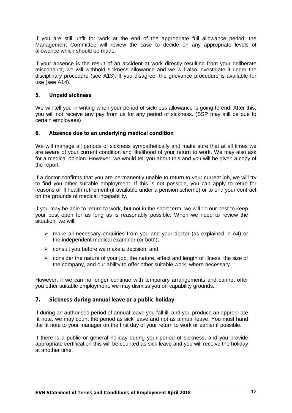If you are still unfit for work at the end of the appropriate full allowance period, the Management Committee will review the case to decide on any appropriate levels of allowance which should be made.

If your absence is the result of an accident at work directly resulting from your deliberate misconduct, we will withhold sickness allowance and we will also investigate it under the disciplinary procedure (see A13). If you disagree, the grievance procedure is available for use (see A14).

### **5. Unpaid sickness**

We will tell you in writing when your period of sickness allowance is going to end. After this, you will not receive any pay from us for any period of sickness. (SSP may still be due to certain employees)

### **6. Absence due to an underlying medical condition**

We will manage all periods of sickness sympathetically and make sure that at all times we are aware of your current condition and likelihood of your return to work. We may also ask for a medical opinion. However, we would tell you about this and you will be given a copy of the report.

If a doctor confirms that you are permanently unable to return to your current job, we will try to find you other suitable employment. If this is not possible, you can apply to retire for reasons of ill health retirement (if available under a pension scheme) or to end your contract on the grounds of medical incapability.

If you may be able to return to work, but not in the short term, we will do our best to keep your post open for as long as is reasonably possible. When we need to review the situation, we will:

- $\triangleright$  make all necessary enquiries from you and your doctor (as explained in A4) or the independent medical examiner (or both);
- $\triangleright$  consult you before we make a decision; and
- $\triangleright$  consider the nature of your job, the nature, effect and length of illness, the size of the company, and our ability to offer other suitable work, where necessary.

However, if we can no longer continue with temporary arrangements and cannot offer you other suitable employment, we may dismiss you on capability grounds.

#### **7. Sickness during annual leave or a public holiday**

If during an authorised period of annual leave you fall ill, and you produce an appropriate fit note, we may count the period as sick leave and not as annual leave. You must hand the fit note to your manager on the first day of your return to work or earlier if possible.

If there is a public or general holiday during your period of sickness, and you provide appropriate certification this will be counted as sick leave and you will receive the holiday at another time.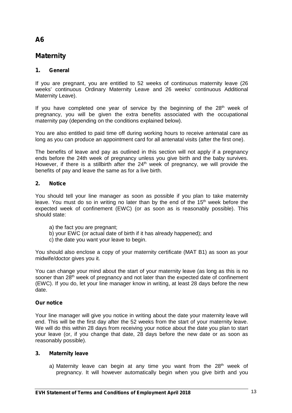# **Maternity**

### **1. General**

If you are pregnant, you are entitled to 52 weeks of continuous maternity leave (26 weeks' continuous Ordinary Maternity Leave and 26 weeks' continuous Additional Maternity Leave).

If you have completed one year of service by the beginning of the  $28<sup>th</sup>$  week of pregnancy, you will be given the extra benefits associated with the occupational maternity pay (depending on the conditions explained below).

You are also entitled to paid time off during working hours to receive antenatal care as long as you can produce an appointment card for all antenatal visits (after the first one).

The benefits of leave and pay as outlined in this section will not apply if a pregnancy ends before the 24th week of pregnancy unless you give birth and the baby survives. However, if there is a stillbirth after the  $24<sup>th</sup>$  week of pregnancy, we will provide the benefits of pay and leave the same as for a live birth.

#### **2. Notice**

You should tell your line manager as soon as possible if you plan to take maternity leave. You must do so in writing no later than by the end of the 15<sup>th</sup> week before the expected week of confinement (EWC) (or as soon as is reasonably possible). This should state:

- a) the fact you are pregnant;
- b) your EWC (or actual date of birth if it has already happened); and
- c) the date you want your leave to begin.

You should also enclose a copy of your maternity certificate (MAT B1) as soon as your midwife/doctor gives you it.

You can change your mind about the start of your maternity leave (as long as this is no sooner than 28<sup>th</sup> week of pregnancy and not later than the expected date of confinement (EWC). If you do, let your line manager know in writing, at least 28 days before the new date.

#### **Our notice**

Your line manager will give you notice in writing about the date your maternity leave will end. This will be the first day after the 52 weeks from the start of your maternity leave. We will do this within 28 days from receiving your notice about the date you plan to start your leave (or, if you change that date, 28 days before the new date or as soon as reasonably possible).

#### **3. Maternity leave**

a) Maternity leave can begin at any time you want from the  $28<sup>th</sup>$  week of pregnancy. It will however automatically begin when you give birth and you

# **A6**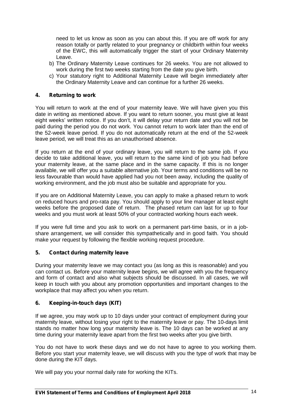need to let us know as soon as you can about this. If you are off work for any reason totally or partly related to your pregnancy or childbirth within four weeks of the EWC, this will automatically trigger the start of your Ordinary Maternity Leave.

- b) The Ordinary Maternity Leave continues for 26 weeks. You are not allowed to work during the first two weeks starting from the date you give birth.
- c) Your statutory right to Additional Maternity Leave will begin immediately after the Ordinary Maternity Leave and can continue for a further 26 weeks.

#### **4. Returning to work**

You will return to work at the end of your maternity leave. We will have given you this date in writing as mentioned above. If you want to return sooner, you must give at least eight weeks' written notice. If you don't, it will delay your return date and you will not be paid during the period you do not work. You cannot return to work later than the end of the 52-week leave period. If you do not automatically return at the end of the 52-week leave period, we will treat this as an unauthorised absence.

If you return at the end of your ordinary leave, you will return to the same job. If you decide to take additional leave, you will return to the same kind of job you had before your maternity leave, at the same place and in the same capacity. If this is no longer available, we will offer you a suitable alternative job. Your terms and conditions will be no less favourable than would have applied had you not been away, including the quality of working environment, and the job must also be suitable and appropriate for you.

If you are on Additional Maternity Leave, you can apply to make a phased return to work on reduced hours and pro-rata pay. You should apply to your line manager at least eight weeks before the proposed date of return. The phased return can last for up to four weeks and you must work at least 50% of your contracted working hours each week.

If you were full time and you ask to work on a permanent part-time basis, or in a job share arrangement, we will consider this sympathetically and in good faith. You should make your request by following the flexible working request procedure.

#### **5. Contact during maternity leave**

During your maternity leave we may contact you (as long as this is reasonable) and you can contact us. Before your maternity leave begins, we will agree with you the frequency and form of contact and also what subjects should be discussed. In all cases, we will keep in touch with you about any promotion opportunities and important changes to the workplace that may affect you when you return.

#### **6. Keeping-in-touch days (KIT)**

If we agree, you may work up to 10 days under your contract of employment during your maternity leave, without losing your right to the maternity leave or pay. The 10-days limit stands no matter how long your maternity leave is. The 10 days can be worked at any time during your maternity leave apart from the first two weeks after you give birth.

You do not have to work these days and we do not have to agree to you working them. Before you start your maternity leave, we will discuss with you the type of work that may be done during the KIT days.

We will pay you your normal daily rate for working the KITs.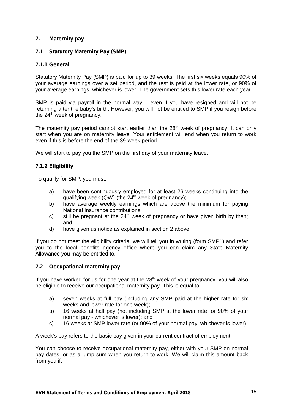### **7. Maternity pay**

### **7.1 Statutory Maternity Pay (SMP)**

#### **7.1.1 General**

Statutory Maternity Pay (SMP) is paid for up to 39 weeks. The first six weeks equals 90% of your average earnings over a set period, and the restis paid at the lower rate, or 90% of your average earnings, whichever is lower. The government sets this lower rate each year.

SMP is paid via payroll in the normal way – even if you have resigned and will not be returning after the baby's birth. However, you will not be entitled to SMP if you resign before the 24<sup>th</sup> week of pregnancy.

The maternity pay period cannot start earlier than the  $28<sup>th</sup>$  week of pregnancy. It can only start when you are on maternity leave. Your entitlement will end when you return to work even if this is before the end of the 39-week period.

We will start to pay you the SMP on the first day of your maternity leave.

### **7.1.2 Eligibility**

To qualify for SMP, you must:

- a) have been continuously employed for at least 26 weeks continuing into the qualifying week (QW) (the  $24<sup>th</sup>$  week of pregnancy);
- b) have average weekly earnings which are above the minimum for paying National Insurance contributions;
- c) still be pregnant at the  $24<sup>th</sup>$  week of pregnancy or have given birth by then; and
- d) have given us notice as explained in section 2 above.

If you do not meet the eligibility criteria, we will tell you in writing (form SMP1) and refer you to the local benefits agency office where you can claim any State Maternity Allowance you may be entitled to.

#### **7.2 Occupational maternity pay**

If you have worked for us for one year at the  $28<sup>th</sup>$  week of your pregnancy, you will also be eligible to receive our occupational maternity pay. This is equal to:

- a) seven weeks at full pay (including any SMP paid at the higher rate forsix weeks and lower rate for one week);
- b) 16 weeks at half pay (not including SMP at the lower rate, or 90% of your normal pay - whichever is lower); and
- c) 16 weeks at SMP lower rate (or 90% of your normal pay, whichever is lower).

A week's pay refers to the basic pay given in your current contract of employment.

You can choose to receive occupational maternity pay, either with your SMP on normal pay dates, or as a lump sum when you return to work. We will claim this amount back from you if: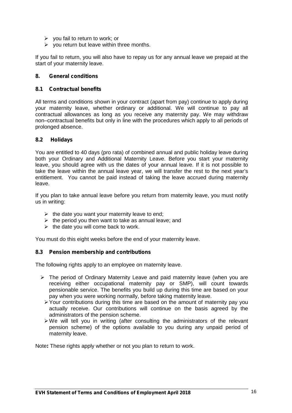- $\triangleright$  you fail to return to work; or
- $\triangleright$  you return but leave within three months.

If you fail to return, you will also have to repay us for any annual leave we prepaid at the start of your maternity leave.

#### **8. General conditions**

#### **8.1 Contractual benefits**

All terms and conditions shown in your contract (apart from pay) continue to apply during your maternity leave, whether ordinary or additional. We will continue to pay all contractual allowances as long as you receive any maternity pay. We may withdraw non–contractual benefits but only in line with the procedures which apply to all periods of prolonged absence.

#### **8.2 Holidays**

You are entitled to 40 days (pro rata) of combined annual and public holiday leave during both your Ordinary and Additional Maternity Leave. Before you start your maternity leave, you should agree with us the dates of your annual leave. If it is not possible to take the leave within the annual leave year, we will transfer the rest to the next year's entitlement. You cannot be paid instead of taking the leave accrued during maternity leave.

If you plan to take annual leave before you return from maternity leave, you must notify us in writing:

- $\triangleright$  the date you want your maternity leave to end;
- $\triangleright$  the period you then want to take as annual leave; and
- $\triangleright$  the date you will come back to work.

You must do this eight weeks before the end of your maternity leave.

#### **8.3 Pension membership and contributions**

The following rights apply to an employee on maternity leave.

- $\triangleright$  The period of Ordinary Maternity Leave and paid maternity leave (when you are receiving either occupational maternity pay or SMP), will count towards pensionable service. The benefits you build up during this time are based on your pay when you were working normally, before taking maternity leave.
	- $\triangleright$  Your contributions during this time are based on the amount of maternity pay you actually receive. Our contributions will continue on the basis agreed by the administrators of the pension scheme.
	- $\triangleright$  We will tell you in writing (after consulting the administrators of the relevant pension scheme) of the options available to you during any unpaid period of maternity leave.

Note**:** These rights apply whether or not you plan to return to work.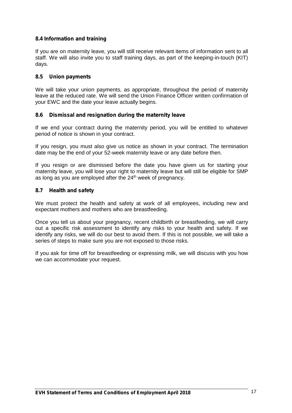#### **8.4 Information and training**

If you are on maternity leave, you will still receive relevant items of information sent to all staff. We will also invite you to staff training days, as part of the keeping-in-touch (KIT) days.

#### **8.5 Union payments**

We will take your union payments, as appropriate, throughout the period of maternity leave at the reduced rate. We will send the Union Finance Officer written confirmation of your EWC and the date your leave actually begins.

### **8.6 Dismissal and resignation during the maternity leave**

If we end your contract during the maternity period, you will be entitled to whatever period of notice is shown in your contract.

If you resign, you must also give us notice as shown in your contract. The termination date may be the end of your 52-week maternity leave or any date before then.

If you resign or are dismissed before the date you have given us for starting your maternity leave, you will lose your right to maternity leave but will still be eligible for SMP as long as you are employed after the 24<sup>th</sup> week of pregnancy.

### **8.7 Health and safety**

We must protect the health and safety at work of all employees, including new and expectant mothers and mothers who are breastfeeding.

Once you tell us about your pregnancy, recent childbirth or breastfeeding, we will carry out a specific risk assessment to identify any risks to your health and safety. If we identify any risks, we will do our best to avoid them. If this is not possible, we will take a series of steps to make sure you are not exposed to those risks.

If you ask for time off for breastfeeding or expressing milk, we will discuss with you how we can accommodate your request.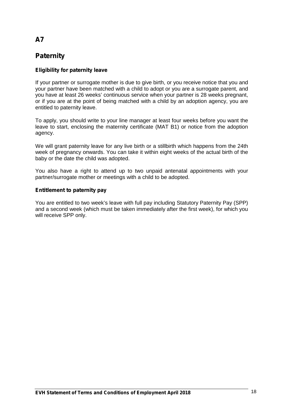# **Paternity**

### **Eligibility for paternity leave**

If your partner or surrogate mother is due to give birth, or you receive notice that you and your partner have been matched with a child to adopt or you are a surrogate parent, and you have at least 26 weeks' continuous service when your partner is 28 weeks pregnant, or if you are at the point of being matched with a child by an adoption agency, you are entitled to paternity leave.

To apply, you should write to your line manager at least four weeks before you want the leave to start, enclosing the maternity certificate (MAT B1) or notice from the adoption agency.

We will grant paternity leave for any live birth or a stillbirth which happens from the 24th week of pregnancy onwards. You can take it within eight weeks of the actual birth of the baby or the date the child was adopted.

You also have a right to attend up to two unpaid antenatal appointments with your partner/surrogate mother or meetings with a child to be adopted.

#### **Entitlement to paternity pay**

You are entitled to two week's leave with full pay including Statutory Paternity Pay (SPP) and a second week (which must be taken immediately after the first week), for which you will receive SPP only.

# **A7**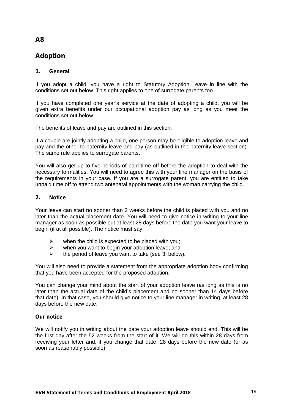# **Adoption**

### **1. General**

If you adopt a child, you have a right to Statutory Adoption Leave in line with the conditions set out below. This right applies to one of surrogate parents too.

If you have completed one year's service at the date of adopting a child, you will be given extra benefits under our occupational adoption pay as long as you meet the conditions set out below.

The benefits of leave and pay are outlined in this section.

If a couple are jointly adopting a child, one person may be eligible to adoption leave and pay and the other to paternity leave and pay (as outlined in the paternity leave section). The same rule applies to surrogate parents.

You will also get up to five periods of paid time off before the adoption to deal with the necessary formalities. You will need to agree this with your line manager on the basis of the requirements in your case. If you are a surrogate parent, you are entitled to take unpaid time off to attend two antenatal appointments with the woman carrying the child.

### **2. Notice**

Your leave can start no sooner than 2 weeks before the child is placed with you and no later than the actual placement date. You will need to give notice in writing to your line manager as soon as possible but at least 28 days before the date you want your leave to begin (if at all possible). The notice must say:

- $\triangleright$  when the child is expected to be placed with you;
- $\triangleright$  when you want to begin your adoption leave; and
- $\triangleright$  the period of leave you want to take (see 3 below).

You will also need to provide a statement from the appropriate adoption body confirming that you have been accepted for the proposed adoption.

You can change your mind about the start of your adoption leave (as long as this is no later than the actual date of the child's placement and no sooner than 14 days before that date). In that case, you should give notice to your line manager in writing, at least 28 days before the new date.

#### **Our notice**

We will notify you in writing about the date your adoption leave should end. This will be the first day after the 52 weeks from the start of it. We will do this within 28 days from receiving your letter and, if you change that date, 28 days before the new date (or as soon as reasonably possible).

# **A8**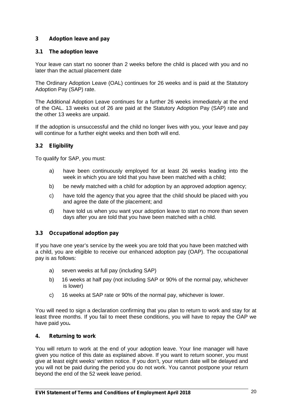### **3 Adoption leave and pay**

#### **3.1 The adoption leave**

Your leave can start no sooner than 2 weeks before the child is placed with you and no later than the actual placement date

The Ordinary Adoption Leave (OAL) continues for 26 weeks and is paid at the Statutory Adoption Pay (SAP) rate.

The Additional Adoption Leave continues for a further 26 weeks immediately at the end of the OAL. 13 weeks out of 26 are paid at the Statutory Adoption Pay (SAP) rate and the other 13 weeks are unpaid.

If the adoption is unsuccessful and the child no longer lives with you, your leave and pay will continue for a further eight weeks and then both will end.

### **3.2 Eligibility**

To qualify for SAP, you must:

- a) have been continuously employed for at least 26 weeks leading into the week in which you are told that you have been matched with a child;
- b) be newly matched with a child for adoption by an approved adoption agency;
- c) have told the agency that you agree that the child should be placed with you and agree the date of the placement; and
- d) have told us when you want your adoption leave to start no more than seven days after you are told that you have been matched with a child.

#### **3.3 Occupational adoption pay**

If you have one year's service by the week you are told that you have been matched with a child, you are eligible to receive our enhanced adoption pay (OAP). The occupational pay is as follows:

- a) seven weeks at full pay (including SAP)
- b) 16 weeks at half pay (not including SAP or 90% of the normal pay, whichever is lower)
- c) 16 weeks at SAP rate or 90% of the normal pay, whichever is lower.

You will need to sign a declaration confirming that you plan to return to work and stay for at least three months. If you fail to meet these conditions, you will have to repay the OAP we have paid you**.**

#### **4. Returning to work**

You will return to work at the end of your adoption leave. Your line manager will have given you notice of this date as explained above. If you want to return sooner, you must give at least eight weeks' written notice. If you don't, your return date will be delayed and you will not be paid during the period you do not work. You cannot postpone your return beyond the end of the 52 week leave period.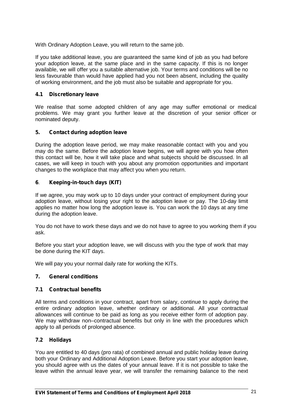With Ordinary Adoption Leave, you will return to the same job.

If you take additional leave, you are guaranteed the same kind of job as you had before your adoption leave, at the same place and in the same capacity. If this is no longer available, we will offer you a suitable alternative job. Your terms and conditions will be no less favourable than would have applied had you not been absent, including the quality of working environment, and the job must also be suitable and appropriate for you.

#### **4.1 Discretionary leave**

We realise that some adopted children of any age may suffer emotional or medical problems. We may grant you further leave at the discretion of your senior officer or nominated deputy.

### **5. Contact during adoption leave**

During the adoption leave period, we may make reasonable contact with you and you may do the same. Before the adoption leave begins, we will agree with you how often this contact will be, how it will take place and what subjects should be discussed. In all cases, we will keep in touch with you about any promotion opportunities and important changes to the workplace that may affect you when you return.

### **6**. **Keeping-in-touch days (KIT)**

If we agree, you may work up to 10 days under your contract of employment during your adoption leave, without losing your right to the adoption leave or pay. The 10-day limit applies no matter how long the adoption leave is. You can work the 10 days at any time during the adoption leave.

You do not have to work these days and we do not have to agree to you working them if you ask.

Before you start your adoption leave, we will discuss with you the type of work that may be done during the KIT days.

We will pay you your normal daily rate for working the KITs.

### **7. General conditions**

#### **7.1 Contractual benefits**

All terms and conditions in your contract, apart from salary, continue to apply during the entire ordinary adoption leave, whether ordinary or additional. All your contractual allowances will continue to be paid as long as you receive either form of adoption pay. We may withdraw non–contractual benefits but only in line with the procedures which apply to all periods of prolonged absence.

#### **7.2 Holidays**

You are entitled to 40 days (pro rata) of combined annual and public holiday leave during both your Ordinary and Additional Adoption Leave. Before you start your adoption leave, you should agree with us the dates of your annual leave. If it is not possible to take the leave within the annual leave year, we will transfer the remaining balance to the next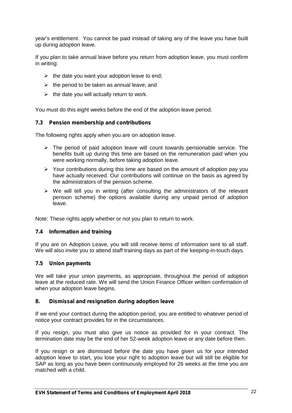year's entitlement. You cannot be paid instead of taking any of the leave you have built up during adoption leave.

If you plan to take annual leave before you return from adoption leave, you must confirm in writing:

- $\triangleright$  the date you want your adoption leave to end;
- $\triangleright$  the period to be taken as annual leave; and
- $\triangleright$  the date you will actually return to work.

You must do this eight weeks before the end of the adoption leave period.

#### **7.3 Pension membership and contributions**

The following rights apply when you are on adoption leave.

- $\triangleright$  The period of paid adoption leave will count towards pensionable service. The benefits built up during this time are based on the remuneration paid when you were working normally, before taking adoption leave.
- $\triangleright$  Your contributions during this time are based on the amount of adoption pay you have actually received. Our contributions will continue on the basis as agreed by the administrators of the pension scheme.
- $\triangleright$  We will tell you in writing (after consulting the administrators of the relevant pension scheme) the options available during any unpaid period of adoption leave.

Note: These rights apply whether or not you plan to return to work.

#### **7.4 Information and training**

If you are on Adoption Leave, you will still receive items of information sent to all staff. We will also invite you to attend staff training days as part of the keeping-in-touch days.

#### **7.5 Union payments**

We will take your union payments, as appropriate, throughout the period of adoption leave at the reduced rate. We will send the Union Finance Officer written confirmation of when your adoption leave begins.

#### **8. Dismissal and resignation during adoption leave**

If we end your contract during the adoption period, you are entitled to whatever period of notice your contract provides for in the circumstances.

If you resign, you must also give us notice as provided for in your contract. The termination date may be the end of her 52-week adoption leave or any date before then.

If you resign or are dismissed before the date you have given us for your intended adoption leave to start, you lose your right to adoption leave but will still be eligible for SAP as long as you have been continuously employed for 26 weeks at the time you are matched with a child.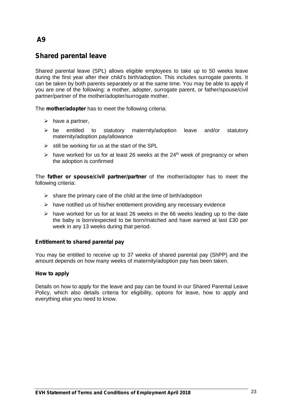# **Shared parental leave**

Shared parental leave (SPL) allows eligible employees to take up to 50 weeks leave during the first year after their child's birth/adoption. This includes surrogate parents. It can be taken by both parents separately or at the same time. You may be able to apply if you are one of the following: a mother, adopter, surrogate parent, or father/spouse/civil partner/partner of the mother/adopter/surrogate mother.

The **mother/adopter** has to meet the following criteria:

- $\triangleright$  have a partner,
- $\triangleright$  be entitled to statutory maternity/adoption leave and/or statutory maternity/adoption pay/allowance
- $\triangleright$  still be working for us at the start of the SPL
- $\geq$  have worked for us for at least 26 weeks at the 24<sup>th</sup> week of pregnancy or when the adoption is confirmed

The **father or spouse/civil partner/partner** of the mother/adopter has to meet the following criteria:

- $\triangleright$  share the primary care of the child at the time of birth/adoption
- $\triangleright$  have notified us of his/her entitlement providing any necessary evidence
- $\triangleright$  have worked for us for at least 26 weeks in the 66 weeks leading up to the date the baby is born/expected to be born/matched and have earned at last £30 per week in any 13 weeks during that period.

#### **Entitlement to shared parental pay**

You may be entitled to receive up to 37 weeks of shared parental pay (ShPP) and the amount depends on how many weeks of maternity/adoption pay has been taken.

#### **How to apply**

Details on how to apply for the leave and pay can be found in our Shared Parental Leave Policy, which also details criteria for eligibility, options for leave, how to apply and everything else you need to know.

# **A9**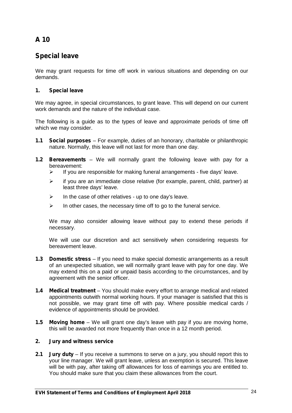# **Special leave**

We may grant requests for time off work in various situations and depending on our demands.

### **1. Special leave**

We may agree, in special circumstances, to grant leave. This will depend on our current work demands and the nature of the individual case.

The following is a guide as to the types of leave and approximate periods of time off which we may consider.

- **1.1 Social purposes** For example, duties of an honorary, charitable or philanthropic nature. Normally, this leave will not last for more than one day.
- **1.2 Bereavements** We will normally grant the following leave with pay for a bereavement:
	- $\triangleright$  If you are responsible for making funeral arrangements five days' leave.
	- $\triangleright$  if you are an immediate close relative (for example, parent, child, partner) at least three days' leave.
	- $\triangleright$  In the case of other relatives up to one day's leave.
	- $\triangleright$  In other cases, the necessary time off to go to the funeral service.

We may also consider allowing leave without pay to extend these periods if necessary.

We will use our discretion and act sensitively when considering requests for bereavement leave.

- **1.3 Domestic stress** If you need to make special domestic arrangements as a result of an unexpected situation, we will normally grant leave with pay for one day. We may extend this on a paid or unpaid basis according to the circumstances, and by agreement with the senior officer.
- **1.4 Medical treatment** You should make every effort to arrange medical and related appointments outwith normal working hours. If your manager is satisfied that this is not possible, we may grant time off with pay. Where possible medical cards / evidence of appointments should be provided.
- **1.5 Moving home** We will grant one day's leave with pay if you are moving home, this will be awarded not more frequently than once in a 12 month period.

#### **2. Jury and witness service**

**2.1 Jury duty** – If you receive a summons to serve on a jury, you should report this to your line manager. We will grant leave, unless an exemption is secured. This leave will be with pay, after taking off allowances for loss of earnings you are entitled to. You should make sure that you claim these allowances from the court.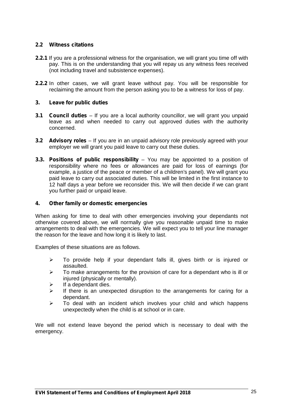### **2.2 Witness citations**

- **2.2.1** If you are a professional witness for the organisation, we will grant you time off with pay. This is on the understanding that you will repay us any witness fees received (not including travel and subsistence expenses).
- **2.2.2** In other cases, we will grant leave without pay. You will be responsible for reclaiming the amount from the person asking you to be a witness for loss of pay.

#### **3. Leave for public duties**

- **3.1 Council duties** If you are a local authority councillor, we will grant you unpaid leave as and when needed to carry out approved duties with the authority concerned.
- **3.2 Advisory roles** If you are in an unpaid advisory role previously agreed with your employer we will grant you paid leave to carry out these duties.
- **3.3. Positions of public responsibility** You may be appointed to a position of responsibility where no fees or allowances are paid for loss of earnings (for example, a justice of the peace or member of a children's panel). We will grant you paid leave to carry out associated duties. This will be limited in the first instance to 12 half days a year before we reconsider this. We will then decide if we can grant you further paid or unpaid leave.

#### **4. Other family or domestic emergencies**

When asking for time to deal with other emergencies involving your dependants not otherwise covered above, we will normally give you reasonable unpaid time to make arrangements to deal with the emergencies. We will expect you to tell your line manager the reason for the leave and how long it is likely to last.

Examples of these situations are as follows.

- $\triangleright$  To provide help if your dependant falls ill, gives birth or is injured or assaulted.
- $\geq$  To make arrangements for the provision of care for a dependant who is ill or injured (physically or mentally).
- $\triangleright$  If a dependant dies.
- $\triangleright$  If there is an unexpected disruption to the arrangements for caring for a dependant.
- $\triangleright$  To deal with an incident which involves your child and which happens unexpectedly when the child is at school or in care.

We will not extend leave beyond the period which is necessary to deal with the emergency.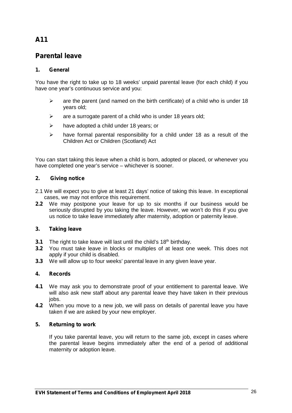# **Parental leave**

### **1. General**

You have the right to take up to 18 weeks' unpaid parental leave (for each child) if you have one year's continuous service and you:

- $\triangleright$  are the parent (and named on the birth certificate) of a child who is under 18 years old;
- $\triangleright$  are a surrogate parent of a child who is under 18 years old;
- $\triangleright$  have adopted a child under 18 years; or
- $\triangleright$  have formal parental responsibility for a child under 18 as a result of the Children Act or Children (Scotland) Act

You can start taking this leave when a child is born, adopted or placed, or whenever you have completed one year's service – whichever is sooner.

### **2. Giving notice**

- 2.1 We will expect you to give at least 21 days' notice of taking this leave. In exceptional cases, we may not enforce this requirement.
- **2.2** We may postpone your leave for up to six months if our business would be seriously disrupted by you taking the leave. However, we won't do this if you give us notice to take leave immediately after maternity, adoption or paternity leave.

### **3. Taking leave**

- **3.1** The right to take leave will last until the child's 18<sup>th</sup> birthday.
- **3.2** You must take leave in blocks or multiples of at least one week. This does not apply if your child is disabled.
- **3.3** We will allow up to four weeks' parental leave in any given leave year.

### **4. Records**

- **4.1** We may ask you to demonstrate proof of your entitlement to parental leave. We will also ask new staff about any parental leave they have taken in their previous iohs
- **4.2** When you move to a new job, we will pass on details of parental leave you have taken if we are asked by your new employer.

#### **5. Returning to work**

If you take parental leave, you will return to the same job, except in cases where the parental leave begins immediately after the end of a period of additional maternity or adoption leave.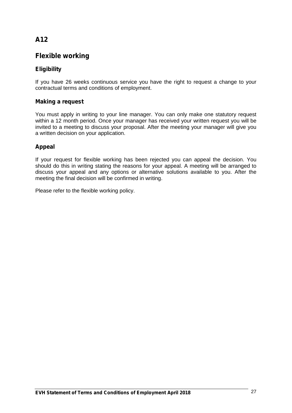# **Flexible working**

# **Eligibility**

If you have 26 weeks continuous service you have the right to request a change to your contractual terms and conditions of employment.

### **Making a request**

You must apply in writing to your line manager. You can only make one statutory request within a 12 month period. Once your manager has received your written request you will be invited to a meeting to discuss your proposal. After the meeting your manager will give you a written decision on your application.

### **Appeal**

If your request for flexible working has been rejected you can appeal the decision. You should do this in writing stating the reasons for your appeal. A meeting will be arranged to discuss your appeal and any options or alternative solutions available to you. After the meeting the final decision will be confirmed in writing.

Please refer to the flexible working policy.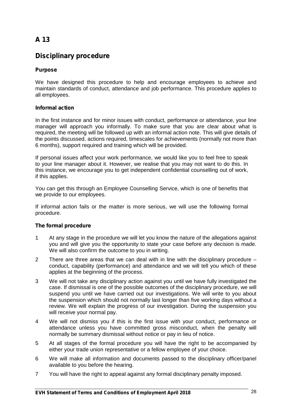# **Disciplinary procedure**

### **Purpose**

We have designed this procedure to help and encourage employees to achieve and maintain standards of conduct, attendance and job performance. This procedure applies to all employees.

#### **Informal action**

In the first instance and for minor issues with conduct, performance or attendance, your line manager will approach you informally. To make sure that you are clear about what is required, the meeting will be followed up with an informal action note. This will give details of the points discussed, actions required, timescales for achievements (normally not more than 6 months), support required and training which will be provided.

If personal issues affect your work performance, we would like you to feel free to speak to your line manager about it. However, we realise that you may not want to do this. In this instance, we encourage you to get independent confidential counselling out of work, if this applies.

You can get this through an Employee Counselling Service, which is one of benefits that we provide to our employees.

If informal action fails or the matter is more serious, we will use the following formal procedure.

#### **The formal procedure**

- 1 At any stage in the procedure we will let you know the nature of the allegations against you and will give you the opportunity to state your case before any decision is made. We will also confirm the outcome to you in writing.
- 2 There are three areas that we can deal with in line with the disciplinary procedure conduct, capability (performance) and attendance and we will tell you which of these applies at the beginning of the process.
- 3 We will not take any disciplinary action against you until we have fully investigated the case. If dismissal is one of the possible outcomes of the disciplinary procedure, we will suspend you until we have carried out our investigations. We will write to you about the suspension which should not normally last longer than five working days without a review. We will explain the progress of our investigation. During the suspension you will receive your normal pay.
- 4 We will not dismiss you if this is the first issue with your conduct, performance or attendance unless you have committed gross misconduct, when the penalty will normally be summary dismissal without notice or pay in lieu of notice.
- 5 At all stages of the formal procedure you will have the right to be accompanied by either your trade union representative or a fellow employee of your choice.
- 6 We will make all information and documents passed to the disciplinary officer/panel available to you before the hearing.
- 7 You will have the right to appeal against any formal disciplinary penalty imposed.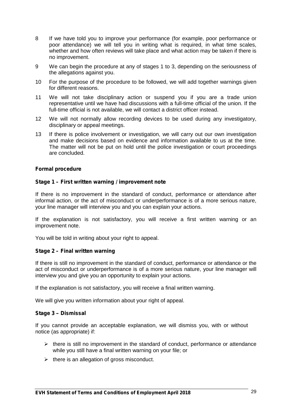- 8 If we have told you to improve your performance (for example, poor performance or poor attendance) we will tell you in writing what is required, in what time scales, whether and how often reviews will take place and what action may be taken if there is no improvement.
- 9 We can begin the procedure at any of stages 1 to 3, depending on the seriousness of the allegations against you.
- 10 For the purpose of the procedure to be followed, we will add together warnings given for different reasons.
- 11 We will not take disciplinary action or suspend you if you are a trade union representative until we have had discussions with a full-time official of the union. If the full-time official is not available, we will contact a district officer instead.
- 12 We will not normally allow recording devices to be used during any investigatory, disciplinary or appeal meetings.
- 13 If there is police involvement or investigation, we will carry out our own investigation and make decisions based on evidence and information available to us at the time. The matter will not be put on hold until the police investigation or court proceedings are concluded.

#### **Formal procedure**

#### **Stage 1 – First written warning / improvement note**

If there is no improvement in the standard of conduct, performance or attendance after informal action, or the act of misconduct or underperformance is of a more serious nature, your line manager will interview you and you can explain your actions.

If the explanation is not satisfactory, you will receive a first written warning or an improvement note.

You will be told in writing about your right to appeal.

#### **Stage 2 – Final written warning**

If there is still no improvement in the standard of conduct, performance or attendance or the act of misconduct or underperformance is of a more serious nature, your line manager will interview you and give you an opportunity to explain your actions.

If the explanation is not satisfactory, you will receive a final written warning.

We will give you written information about your right of appeal.

#### **Stage 3** *–* **Dismissal**

If you cannot provide an acceptable explanation, we will dismiss you, with or without notice (as appropriate) if:

- $\triangleright$  there is still no improvement in the standard of conduct, performance or attendance while you still have a final written warning on your file; or
- $\triangleright$  there is an allegation of gross misconduct.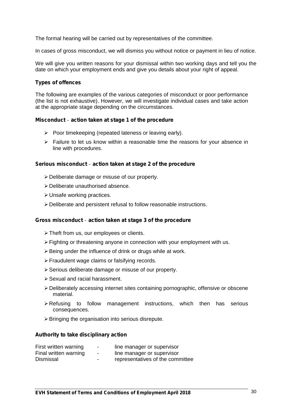The formal hearing will be carried out by representatives of the committee.

In cases of gross misconduct, we will dismiss you without notice or payment in lieu of notice.

We will give you written reasons for your dismissal within two working days and tell you the date on which your employment ends and give you details about your right of appeal.

#### **Types of offences**

The following are examples of the various categories of misconduct or poor performance (the list is not exhaustive). However, we will investigate individual cases and take action at the appropriate stage depending on the circumstances.

#### **Misconduct** *–* **action taken at stage 1 of the procedure**

- $\triangleright$  Poor timekeeping (repeated lateness or leaving early).
- $\triangleright$  Failure to let us know within a reasonable time the reasons for your absence in line with procedures.

#### **Serious misconduct** *–* **action taken at stage 2 of the procedure**

- Deliberate damage or misuse of our property.
- Deliberate unauthorised absence.
- Unsafe working practices.
- Deliberate and persistent refusal to follow reasonable instructions.

#### **Gross misconduct** *–* **action taken at stage 3 of the procedure**

- > Theft from us, our employees or clients.
- $\triangleright$  Fighting or threatening anyone in connection with your employment with us.
- $\triangleright$  Being under the influence of drink or drugs while at work.
- Fraudulent wage claims or falsifying records.
- $\triangleright$  Serious deliberate damage or misuse of our property.
- Sexual and racial harassment.
- Deliberately accessing internet sites containing pornographic, offensive or obscene material.
- $\triangleright$  Refusing to follow management instructions, which then has serious consequences.
- $\triangleright$  Bringing the organisation into serious disrepute.

#### **Authority to take disciplinary action**

| First written warning | $\overline{\phantom{0}}$ | line manager or supervisor       |
|-----------------------|--------------------------|----------------------------------|
| Final written warning | $\blacksquare$           | line manager or supervisor       |
| Dismissal             | $\overline{\phantom{0}}$ | representatives of the committee |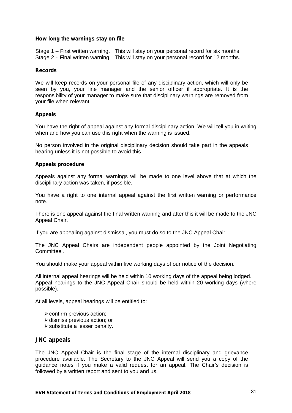#### **How long the warnings stay on file**

Stage 1 – First written warning. This will stay on your personal record for six months. Stage 2 *–* Final written warning. This will stay on your personal record for 12 months.

#### **Records**

We will keep records on your personal file of any disciplinary action, which will only be seen by you, your line manager and the senior officer if appropriate. It is the responsibility of your manager to make sure that disciplinary warnings are removed from your file when relevant.

#### **Appeals**

You have the right of appeal against any formal disciplinary action. We will tell you in writing when and how you can use this right when the warning is issued.

No person involved in the original disciplinary decision should take part in the appeals hearing unless it is not possible to avoid this.

#### **Appeals procedure**

Appeals against any formal warnings will be made to one level above that at which the disciplinary action was taken, if possible.

You have a right to one internal appeal against the first written warning or performance note.

There is one appeal against the final written warning and after this it will be made to the JNC Appeal Chair.

If you are appealing against dismissal, you must do so to the JNC Appeal Chair.

The JNC Appeal Chairs are independent people appointed by the Joint Negotiating Committee .

You should make your appeal within five working days of our notice of the decision.

All internal appeal hearings will be held within 10 working days of the appeal being lodged. Appeal hearings to the JNC Appeal Chair should be held within 20 working days (where possible).

At all levels, appeal hearings will be entitled to:

- $\triangleright$  confirm previous action;
- $\triangleright$  dismiss previous action; or
- substitute a lesser penalty.

#### **JNC appeals**

The JNC Appeal Chair is the final stage of the internal disciplinary and grievance procedure available. The Secretary to the JNC Appeal will send you a copy of the guidance notes if you make a valid request for an appeal. The Chair's decision is followed by a written report and sent to you and us.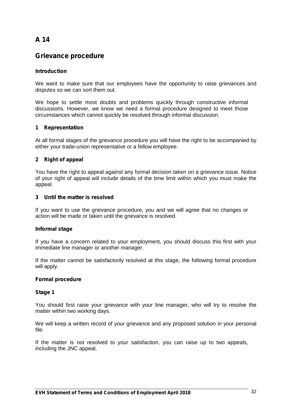# **Grievance procedure**

### **Introduction**

We want to make sure that our employees have the opportunity to raise grievances and disputes so we can sort them out.

We hope to settle most doubts and problems quickly through constructive informal discussions. However, we know we need a formal procedure designed to meet those circumstances which cannot quickly be resolved through informal discussion.

#### **1 Representation**

At all formal stages of the grievance procedure you will have the right to be accompanied by either your trade-union representative or a fellow employee.

#### **2 Right of appeal**

You have the right to appeal against any formal decision taken on a grievance issue. Notice of your right of appeal will include details of the time limit within which you must make the appeal.

#### **3 Until the matter is resolved**

If you want to use the grievance procedure, you and we will agree that no changes or action will be made or taken until the grievance is resolved.

#### **Informal stage**

If you have a concern related to your employment, you should discuss this first with your immediate line manager or another manager.

If the matter cannot be satisfactorily resolved at this stage, the following formal procedure will apply.

#### **Formal procedure**

#### **Stage 1**

You should first raise your grievance with your line manager, who will try to resolve the matter within two working days.

We will keep a written record of your grievance and any proposed solution in your personal file.

If the matter is not resolved to your satisfaction, you can raise up to two appeals, including the JNC appeal.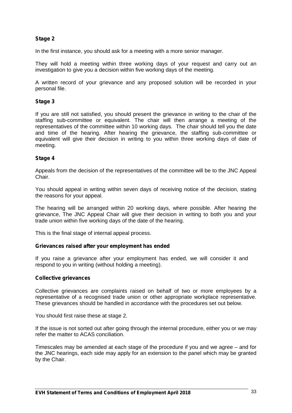### **Stage 2**

In the first instance, you should ask for a meeting with a more senior manager.

They will hold a meeting within three working days of your request and carry out an investigation to give you a decision within five working days of the meeting.

A written record of your grievance and any proposed solution will be recorded in your personal file.

#### **Stage 3**

If you are still not satisfied, you should present the grievance in writing to the chair of the staffing sub-committee or equivalent. The chair will then arrange a meeting of the representatives of the committee within 10 working days. The chair should tell you the date and time of the hearing. After hearing the grievance, the staffing sub-committee or equivalent will give their decision in writing to you within three working days of date of meeting.

#### **Stage 4**

Appeals from the decision of the representatives of the committee will be to the JNC Appeal Chair.

You should appeal in writing within seven days of receiving notice of the decision, stating the reasons for your appeal.

The hearing will be arranged within 20 working days, where possible. After hearing the grievance, The JNC Appeal Chair will give their decision in writing to both you and your trade union within five working days of the date of the hearing.

This is the final stage of internal appeal process.

#### **Grievances raised after your employment has ended**

If you raise a grievance after your employment has ended, we will consider it and respond to you in writing (without holding a meeting).

#### **Collective grievances**

Collective grievances are complaints raised on behalf of two or more employees by a representative of a recognised trade union or other appropriate workplace representative. These grievances should be handled in accordance with the procedures set out below.

You should first raise these at stage 2.

If the issue is not sorted out after going through the internal procedure, either you or we may refer the matter to ACAS conciliation.

Timescales may be amended at each stage of the procedure if you and we agree – and for the JNC hearings, each side may apply for an extension to the panel which may be granted by the Chair.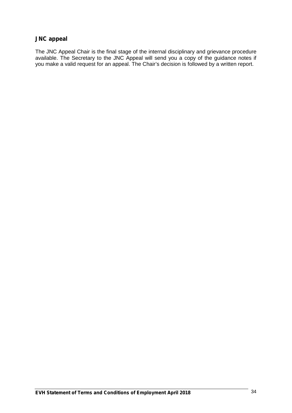## **JNC appeal**

The JNC Appeal Chair is the final stage of the internal disciplinary and grievance procedure available. The Secretary to the JNC Appeal will send you a copy of the guidance notes if you make a valid request for an appeal. The Chair's decision is followed by a written report.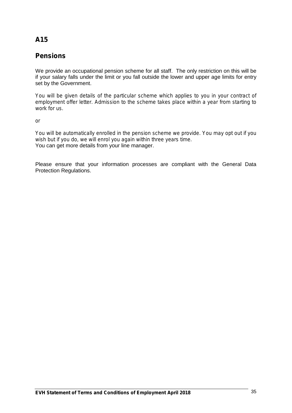# **Pensions**

We provide an occupational pension scheme for all staff. The only restriction on this will be if your salary falls under the limit or you fall outside the lower and upper age limits for entry set by the Government.

*You will be given details of the particular scheme which applies to you in your contract of employment offer letter. Admission to the scheme takes place within a year from starting to work for us.*

*or*

*You will be automatically enrolled in the pension scheme we provide. You may opt out if you wish but if you do, we will enrol you again within three years time.* You can get more details from your line manager.

Please ensure that your information processes are compliant with the General Data Protection Regulations.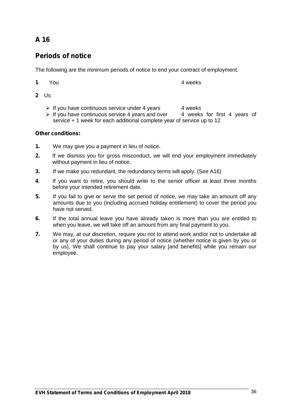# **Periods of notice**

The following are the minimum periods of notice to end your contract of employment.

**1** You **4** weeks

- **2** Us
	- $\triangleright$  If you have continuous service under 4 years 4 weeks
	- $\triangleright$  If you have continuous service 4 years and over 4 weeks for first 4 years of service + 1 week for each additional complete year of service up to 12

### **Other conditions:**

- **1.** We may give you a payment in lieu of notice.
- **2.** If we dismiss you for gross misconduct, we will end your employment immediately without payment in lieu of notice.
- **3.** If we make you redundant, the redundancy terms will apply. (See A16)
- **4**. If you want to retire, you should write to the senior officer at least three months before your intended retirement date.
- **5.** If you fail to give or serve the set period of notice, we may take an amount off any amounts due to you (including accrued holiday entitlement) to cover the period you have not served.
- **6.** If the total annual leave you have already taken is more than you are entitled to when you leave, we will take off an amount from any final payment to you.
- **7.** We may, at our discretion, require you not to attend work and/or not to undertake all or any of your duties during any period of notice (whether notice is given by you or by us). We shall continue to pay your salary [and benefits] while you remain our employee.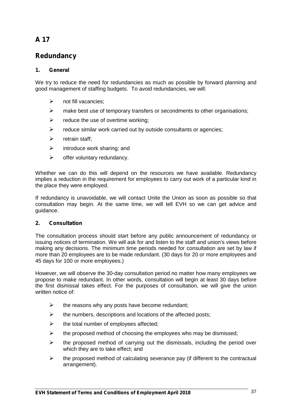# **Redundancy**

### **1. General**

We try to reduce the need for redundancies as much as possible by forward planning and good management of staffing budgets. To avoid redundancies, we will:

- $\triangleright$  not fill vacancies:
- $\triangleright$  make best use of temporary transfers or secondments to other organisations:
- $\triangleright$  reduce the use of overtime working;
- $\triangleright$  reduce similar work carried out by outside consultants or agencies;
- $\triangleright$  retrain staff:
- $\triangleright$  introduce work sharing: and
- $\triangleright$  offer voluntary redundancy.

Whether we can do this will depend on the resources we have available. Redundancy implies a reduction in the requirement for employees to carry out work of a particular kind in the place they were employed.

If redundancy is unavoidable, we will contact Unite the Union as soon as possible so that consultation may begin. At the same time, we will tell EVH so we can get advice and guidance.

#### **2. Consultation**

The consultation process should start before any public announcement of redundancy or issuing notices of termination. We will ask for and listen to the staff and union's views before making any decisions. The minimum time periods needed for consultation are set by law if more than 20 employees are to be made redundant. (30 days for 20 or more employees and 45 days for 100 or more employees.)

However, we will observe the 30-day consultation period no matter how many employees we propose to make redundant. In other words, consultation will begin at least 30 days before the first dismissal takes effect. For the purposes of consultation, we will give the union written notice of:

- $\triangleright$  the reasons why any posts have become redundant;
- $\triangleright$  the numbers, descriptions and locations of the affected posts;
- $\triangleright$  the total number of employees affected;
- $\triangleright$  the proposed method of choosing the employees who may be dismissed;
- $\triangleright$  the proposed method of carrying out the dismissals, including the period over which they are to take effect; and
- $\triangleright$  the proposed method of calculating severance pay (if different to the contractual arrangement).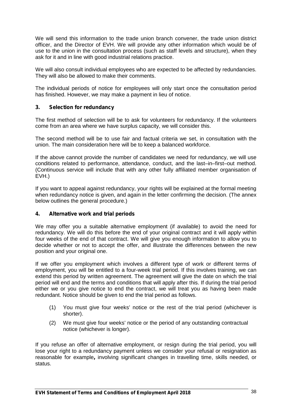We will send this information to the trade union branch convener, the trade union district officer, and the Director of EVH. We will provide any other information which would be of use to the union in the consultation process (such as staff levels and structure), when they ask for it and in line with good industrial relations practice.

We will also consult individual employees who are expected to be affected by redundancies. They will also be allowed to make their comments.

The individual periods of notice for employees will only start once the consultation period has finished. However, we may make a payment in lieu of notice.

### **3. Selection for redundancy**

The first method of selection will be to ask for volunteers for redundancy. If the volunteers come from an area where we have surplus capacity, we will consider this.

The second method will be to use fair and factual criteria we set, in consultation with the union. The main consideration here will be to keep a balanced workforce.

If the above cannot provide the number of candidates we need for redundancy, we will use conditions related to performance, attendance, conduct, and the last–in–first–out method. (Continuous service will include that with any other fully affiliated member organisation of EVH.)

If you want to appeal against redundancy, your rights will be explained at the formal meeting when redundancy notice is given, and again in the letter confirming the decision. (The annex below outlines the general procedure.)

#### **4. Alternative work and trial periods**

We may offer you a suitable alternative employment (if available) to avoid the need for redundancy. We will do this before the end of your original contract and it will apply within four weeks of the end of that contract. We will give you enough information to allow you to decide whether or not to accept the offer, and illustrate the differences between the new position and your original one.

If we offer you employment which involves a different type of work or different terms of employment, you will be entitled to a four-week trial period. If this involves training, we can extend this period by written agreement. The agreement will give the date on which the trial period will end and the terms and conditions that will apply after this. If during the trial period either we or you give notice to end the contract, we will treat you as having been made redundant. Notice should be given to end the trial period as follows.

- (1) You must give four weeks' notice or the rest of the trial period (whichever is shorter).
- (2) We must give four weeks' notice or the period of any outstanding contractual notice (whichever is longer).

If you refuse an offer of alternative employment, or resign during the trial period, you will lose your right to a redundancy payment unless we consider your refusal or resignation as reasonable for example**,** involving significant changes in travelling time, skills needed, or status.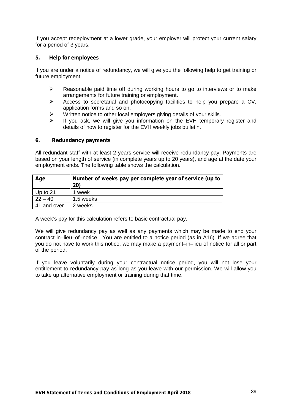If you accept redeployment at a lower grade, your employer will protect your current salary for a period of 3 years.

#### **5. Help for employees**

If you are under a notice of redundancy, we will give you the following help to get training or future employment:

- $\triangleright$  Reasonable paid time off during working hours to go to interviews or to make arrangements for future training or employment.
- $\triangleright$  Access to secretarial and photocopying facilities to help you prepare a CV, application forms and so on.
- $\triangleright$  Written notice to other local employers giving details of your skills.
- $\triangleright$  If you ask, we will give you information on the EVH temporary register and details of how to register for the EVH weekly jobs bulletin.

#### **6. Redundancy payments**

All redundant staff with at least 2 years service will receive redundancy pay. Payments are based on your length of service (in complete years up to 20 years), and age at the date your employment ends. The following table shows the calculation.

| Age         | Number of weeks pay per complete year of service (up to<br>20) |
|-------------|----------------------------------------------------------------|
| Up to $21$  | 1 week                                                         |
| $22 - 40$   | 1.5 weeks                                                      |
| 41 and over | 2 weeks                                                        |

A week's pay for this calculation refers to basic contractual pay.

We will give redundancy pay as well as any payments which may be made to end your contract in–lieu–of–notice. You are entitled to a notice period (as in A16). If we agree that you do not have to work this notice, we may make a payment–in–lieu of notice for all or part of the period.

If you leave voluntarily during your contractual notice period, you will not lose your entitlement to redundancy pay as long as you leave with our permission. We will allow you to take up alternative employment or training during that time.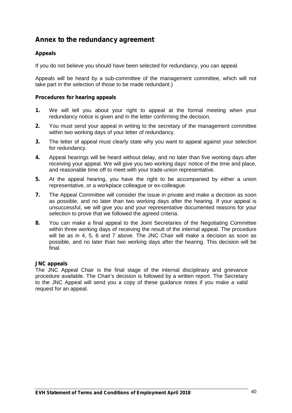# **Annex to the redundancy agreement**

### **Appeals**

If you do not believe you should have been selected for redundancy, you can appeal.

Appeals will be heard by a sub-committee of the management committee, which will not take part in the selection of those to be made redundant.)

#### **Procedures for hearing appeals**

- **1.** We will tell you about your right to appeal at the formal meeting when your redundancy notice is given and in the letter confirming the decision.
- **2.** You must send your appeal in writing to the secretary of the management committee within two working days of your letter of redundancy.
- **3.** The letter of appeal must clearly state why you want to appeal against your selection for redundancy.
- **4.** Appeal hearings will be heard without delay, and no later than five working days after receiving your appeal. We will give you two working days' notice of the time and place, and reasonable time off to meet with your trade-union representative.
- **5.** At the appeal hearing, you have the right to be accompanied by either a union representative, or a workplace colleague or ex-colleague.
- **7.** The Appeal Committee will consider the issue in private and make a decision as soon as possible, and no later than two working days after the hearing. If your appeal is unsuccessful, we will give you and your representative documented reasons for your selection to prove that we followed the agreed criteria.
- **8.** You can make a final appeal to the Joint Secretaries of the Negotiating Committee within three working days of receiving the result of the internal appeal. The procedure will be as in 4, 5, 6 and 7 above. The JNC Chair will make a decision as soon as possible, and no later than two working days after the hearing. This decision will be final.

#### **JNC appeals**

The JNC Appeal Chair is the final stage of the internal disciplinary and grievance procedure available. The Chair's decision is followed by a written report. The Secretary to the JNC Appeal will send you a copy of these guidance notes if you make a valid request for an appeal.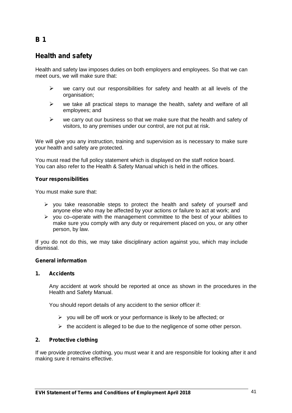# **Health and safety**

Health and safety law imposes duties on both employers and employees. So that we can meet ours, we will make sure that:

- $\triangleright$  we carry out our responsibilities for safety and health at all levels of the organisation;
- $\triangleright$  we take all practical steps to manage the health, safety and welfare of all employees; and
- $\triangleright$  we carry out our business so that we make sure that the health and safety of visitors, to any premises under our control, are not put at risk.

We will give you any instruction, training and supervision as is necessary to make sure your health and safety are protected.

You must read the full policy statement which is displayed on the staff notice board. You can also refer to the Health & Safety Manual which is held in the offices.

#### **Your responsibilities**

You must make sure that:

- $\triangleright$  you take reasonable steps to protect the health and safety of yourself and anyone else who may be affected by your actions or failure to act at work; and
- $\triangleright$  you co–operate with the management committee to the best of your abilities to make sure you comply with any duty or requirement placed on you, or any other person, by law.

If you do not do this, we may take disciplinary action against you, which may include dismissal.

#### **General information**

#### **1. Accidents**

Any accident at work should be reported at once as shown in the procedures in the Health and Safety Manual.

You should report details of any accident to the senior officer if:

- $\triangleright$  you will be off work or your performance is likely to be affected; or
- $\triangleright$  the accident is alleged to be due to the negligence of some other person.

#### **2. Protective clothing**

If we provide protective clothing, you must wear it and are responsible for looking after it and making sure it remains effective.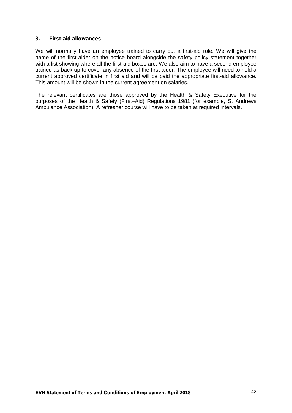#### **3. First-aid allowances**

We will normally have an employee trained to carry out a first-aid role. We will give the name of the first-aider on the notice board alongside the safety policy statement together with a list showing where all the first-aid boxes are. We also aim to have a second employee trained as back up to cover any absence of the first-aider. The employee will need to hold a current approved certificate in first aid and will be paid the appropriate first-aid allowance. This amount will be shown in the current agreement on salaries.

The relevant certificates are those approved by the Health & Safety Executive for the purposes of the Health & Safety (First–Aid) Regulations 1981 (for example, St Andrews Ambulance Association). A refresher course will have to be taken at required intervals.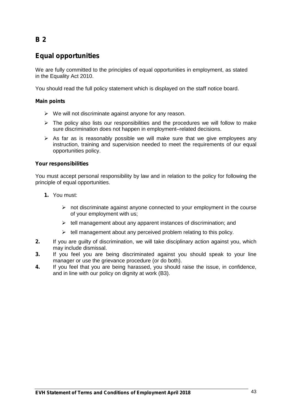# **Equal opportunities**

We are fully committed to the principles of equal opportunities in employment, as stated in the Equality Act 2010.

You should read the full policy statement which is displayed on the staff notice board.

### **Main points**

- $\triangleright$  We will not discriminate against anyone for any reason.
- $\triangleright$  The policy also lists our responsibilities and the procedures we will follow to make sure discrimination does not happen in employment–related decisions.
- $\triangleright$  As far as is reasonably possible we will make sure that we give employees any instruction, training and supervision needed to meet the requirements of our equal opportunities policy.

### **Your responsibilities**

You must accept personal responsibility by law and in relation to the policy for following the principle of equal opportunities.

- **1.** You must:
	- $\triangleright$  not discriminate against anyone connected to your employment in the course of your employment with us;
	- $\triangleright$  tell management about any apparent instances of discrimination; and
	- $\triangleright$  tell management about any perceived problem relating to this policy.
- **2.** If you are guilty of discrimination, we will take disciplinary action against you, which may include dismissal.
- **3.** If you feel you are being discriminated against you should speak to your line manager or use the grievance procedure (or do both).
- **4.** If you feel that you are being harassed, you should raise the issue, in confidence, and in line with our policy on dignity at work (B3).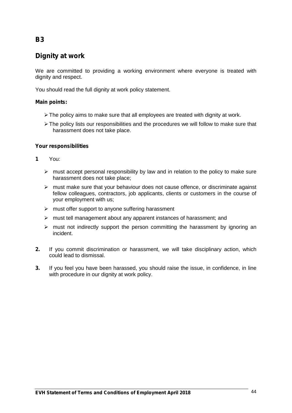# **Dignity at work**

We are committed to providing a working environment where everyone is treated with dignity and respect.

You should read the full dignity at work policy statement.

### **Main points:**

- The policy aims to make sure that all employees are treated with dignity at work.
- > The policy lists our responsibilities and the procedures we will follow to make sure that harassment does not take place.

### **Your responsibilities**

- **1** You:
	- $\triangleright$  must accept personal responsibility by law and in relation to the policy to make sure harassment does not take place;
	- $\triangleright$  must make sure that your behaviour does not cause offence, or discriminate against fellow colleagues, contractors, job applicants, clients or customers in the course of your employment with us;
	- $\triangleright$  must offer support to anyone suffering harassment
	- $\triangleright$  must tell management about any apparent instances of harassment; and
	- $\triangleright$  must not indirectly support the person committing the harassment by ignoring an incident.
- **2.** If you commit discrimination or harassment, we will take disciplinary action, which could lead to dismissal.
- **3.** If you feel you have been harassed, you should raise the issue, in confidence, in line with procedure in our dignity at work policy.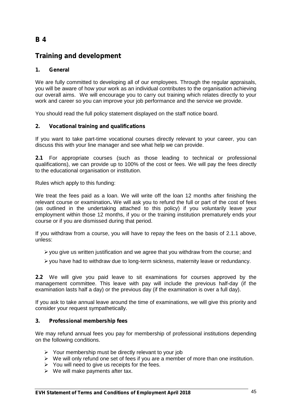# **Training and development**

### **1. General**

We are fully committed to developing all of our employees. Through the regular appraisals, you will be aware of how your work as an individual contributes to the organisation achieving our overall aims. We will encourage you to carry out training which relates directly to your work and career so you can improve your job performance and the service we provide.

You should read the full policy statement displayed on the staff notice board.

### **2. Vocational training and qualifications**

If you want to take part-time vocational courses directly relevant to your career, you can discuss this with your line manager and see what help we can provide.

**2.1** For appropriate courses (such as those leading to technical or professional qualifications), we can provide up to 100% of the cost or fees. We will pay the fees directly to the educational organisation or institution.

Rules which apply to this funding:

We treat the fees paid as a loan. We will write off the loan 12 months after finishing the relevant course or examination**.** We will ask you to refund the full or part of the cost of fees (as outlined in the undertaking attached to this policy) if you voluntarily leave your employment within those 12 months, if you or the training institution prematurely ends your course or if you are dismissed during that period.

If you withdraw from a course, you will have to repay the fees on the basis of 2.1.1 above, unless:

- $\triangleright$  you give us written justification and we agree that you withdraw from the course; and
- you have had to withdraw due to long-term sickness, maternity leave or redundancy.

**2.2** We will give you paid leave to sit examinations for courses approved by the management committee. This leave with pay will include the previous half-day (if the examination lasts half a day) or the previous day (if the examination is over a full day).

If you ask to take annual leave around the time of examinations, we will give this priority and consider your request sympathetically.

#### **3. Professional membership fees**

We may refund annual fees you pay for membership of professional institutions depending on the following conditions.

- Your membership must be directly relevant to your job
- We will only refund one set of fees if you are a member of more than one institution.
- $\triangleright$  You will need to give us receipts for the fees.
- $\triangleright$  We will make payments after tax.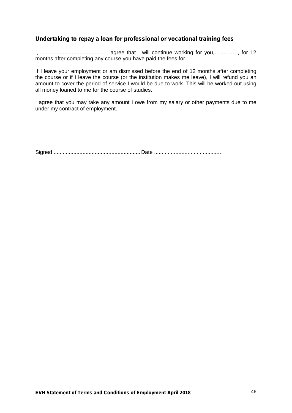## **Undertaking to repay a loan for professional or vocational training fees**

I,........................................... , agree that I will continue working for you,…………., for 12 months after completing any course you have paid the fees for.

If I leave your employment or am dismissed before the end of 12 months after completing the course or if I leave the course (or the institution makes me leave), I will refund you an amount to cover the period of service I would be due to work. This will be worked out using all money loaned to me for the course of studies.

I agree that you may take any amount I owe from my salary or other payments due to me under my contract of employment.

Signed ......................................................... Date ............................................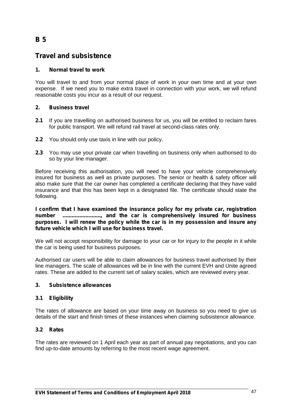# **Travel and subsistence**

### **1. Normal travel to work**

You will travel to and from your normal place of work in your own time and at your own expense. If we need you to make extra travel in connection with your work, we will refund reasonable costs you incur as a result of our request.

### **2. Business travel**

- **2.1** If you are travelling on authorised business for us, you will be entitled to reclaim fares for public transport. We will refund rail travel at second-class rates only.
- **2.2** You should only use taxis in line with our policy.
- **2.3** You may use your private car when travelling on business only when authorised to do so by your line manager.

Before receiving this authorisation, you will need to have your vehicle comprehensively insured for business as well as private purposes. The senior or health & safety officer will also make sure that the car owner has completed a certificate declaring that they have valid insurance and that this has been kept in a designated file. The certificate should state the following.

**I confirm that I have examined the insurance policy for my private car, registration number ........................., and the car is comprehensively insured for business purposes. I will renew the policy while the car is in my possession and insure any future vehicle which I will use for business travel.**

We will not accept responsibility for damage to your car or for injury to the people in it while the car is being used for business purposes.

Authorised car users will be able to claim allowances for business travel authorised by their line managers. The scale of allowances will be in line with the current EVH and Unite agreed rates. These are added to the current set of salary scales, which are reviewed every year.

#### **3. Subsistence allowances**

### **3.1 Eligibility**

The rates of allowance are based on your time away on business so you need to give us details of the start and finish times of these instances when claiming subsistence allowance.

### **3.2 Rates**

The rates are reviewed on 1 April each year as part of annual pay negotiations, and you can find up-to-date amounts by referring to the most recent wage agreement.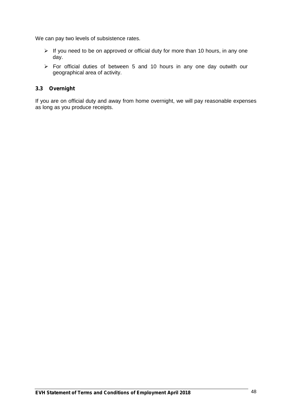We can pay two levels of subsistence rates.

- $\triangleright$  If you need to be on approved or official duty for more than 10 hours, in any one day.
- For official duties of between 5 and 10 hours in any one day outwith our geographical area of activity.

#### **3.3 Overnight**

If you are on official duty and away from home overnight, we will pay reasonable expenses as long as you produce receipts.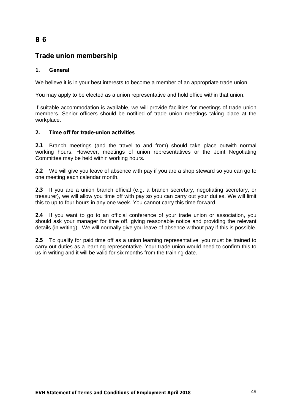# **Trade union membership**

### **1. General**

We believe it is in your best interests to become a member of an appropriate trade union.

You may apply to be elected as a union representative and hold office within that union.

If suitable accommodation is available, we will provide facilities for meetings of trade-union members. Senior officers should be notified of trade union meetings taking place at the workplace.

#### **2. Time off for trade-union activities**

**2.1** Branch meetings (and the travel to and from) should take place outwith normal working hours. However, meetings of union representatives or the Joint Negotiating Committee may be held within working hours.

**2.2** We will give you leave of absence with pay if you are a shop steward so you can go to one meeting each calendar month.

**2.3** If you are a union branch official (e.g. a branch secretary, negotiating secretary, or treasurer), we will allow you time off with pay so you can carry out your duties. We will limit this to up to four hours in any one week. You cannot carry this time forward.

**2.4** If you want to go to an official conference of your trade union or association, you should ask your manager for time off, giving reasonable notice and providing the relevant details (in writing). We will normally give you leave of absence without pay if this is possible.

**2.5** To qualify for paid time off as a union learning representative, you must be trained to carry out duties as a learning representative. Your trade union would need to confirm this to us in writing and it will be valid for six months from the training date.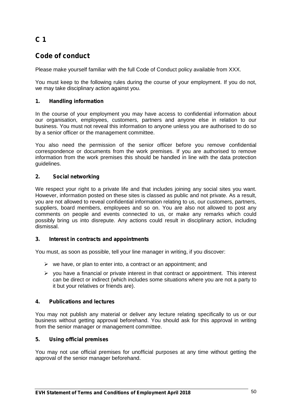# **C 1**

# **Code of conduct**

Please make yourself familiar with the full Code of Conduct policy available from XXX.

You must keep to the following rules during the course of your employment. If you do not, we may take disciplinary action against you.

### **1. Handling information**

In the course of your employment you may have access to confidential information about our organisation, employees, customers, partners and anyone else in relation to our business. You must not reveal this information to anyone unless you are authorised to do so by a senior officer or the management committee.

You also need the permission of the senior officer before you remove confidential correspondence or documents from the work premises. If you are authorised to remove information from the work premises this should be handled in line with the data protection guidelines.

### **2. Social networking**

We respect your right to a private life and that includes joining any social sites you want. However, information posted on these sites is classed as public and not private. As a result, you are not allowed to reveal confidential information relating to us, our customers, partners, suppliers, board members, employees and so on. You are also not allowed to post any comments on people and events connected to us, or make any remarks which could possibly bring us into disrepute. Any actions could result in disciplinary action, including dismissal.

#### **3. Interest in contracts and appointments**

You must, as soon as possible, tell your line manager in writing, if you discover:

- $\triangleright$  we have, or plan to enter into, a contract or an appointment; and
- $\triangleright$  you have a financial or private interest in that contract or appointment. This interest can be direct or indirect (which includes some situations where you are not a party to it but your relatives or friends are).

#### **4. Publications and lectures**

You may not publish any material or deliver any lecture relating specifically to us or our business without getting approval beforehand. You should ask for this approval in writing from the senior manager or management committee.

### **5. Using official premises**

You may not use official premises for unofficial purposes at any time without getting the approval of the senior manager beforehand.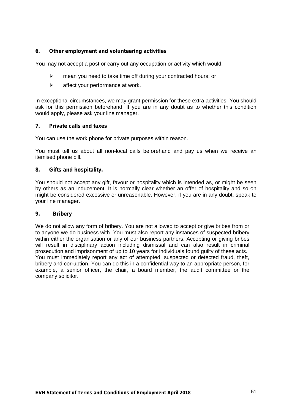### **6. Other employment and volunteering activities**

You may not accept a post or carry out any occupation or activity which would:

- $\triangleright$  mean you need to take time off during your contracted hours; or
- $\triangleright$  affect your performance at work.

In exceptional circumstances, we may grant permission for these extra activities. You should ask for this permission beforehand. If you are in any doubt as to whether this condition would apply, please ask your line manager.

#### **7. Private calls and faxes**

You can use the work phone for private purposes within reason.

You must tell us about all non-local calls beforehand and pay us when we receive an itemised phone bill.

#### **8. Gifts and hospitality.**

You should not accept any gift, favour or hospitality which is intended as, or might be seen by others as an inducement. It is normally clear whether an offer of hospitality and so on might be considered excessive or unreasonable. However, if you are in any doubt, speak to your line manager.

#### **9. Bribery**

We do not allow any form of bribery. You are not allowed to accept or give bribes from or to anyone we do business with. You must also report any instances of suspected bribery within either the organisation or any of our business partners. Accepting or giving bribes will result in disciplinary action including dismissal and can also result in criminal prosecution and imprisonment of up to 10 years for individuals found guilty of these acts. You must immediately report any act of attempted, suspected or detected fraud, theft, bribery and corruption. You can do this in a confidential way to an appropriate person, for example, a senior officer, the chair, a board member, the audit committee or the company solicitor.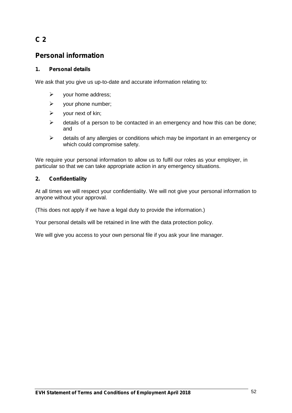# **C 2**

# **Personal information**

### **1. Personal details**

We ask that you give us up-to-date and accurate information relating to:

- $\triangleright$  your home address;
- $\triangleright$  your phone number;
- $\triangleright$  your next of kin;
- $\triangleright$  details of a person to be contacted in an emergency and how this can be done; and
- $\triangleright$  details of any allergies or conditions which may be important in an emergency or which could compromise safety.

We require your personal information to allow us to fulfil our roles as your employer, in particular so that we can take appropriate action in any emergency situations.

### **2. Confidentiality**

At all times we will respect your confidentiality. We will not give your personal information to anyone without your approval.

(This does not apply if we have a legal duty to provide the information.)

Your personal details will be retained in line with the data protection policy.

We will give you access to your own personal file if you ask your line manager.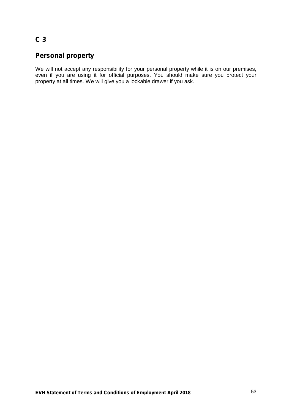# **C 3**

# **Personal property**

We will not accept any responsibility for your personal property while it is on our premises, even if you are using it for official purposes. You should make sure you protect your property at all times. We will give you a lockable drawer if you ask.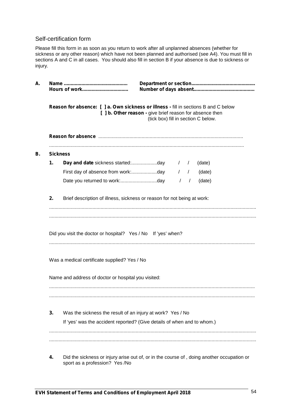### Self-certification form

Please fill this form in as soon as you return to work after all unplanned absences (whether for sickness or any other reason) which have not been planned and authorised (see A4). You must fill in sections A and C in all cases. You should also fill in section B if your absence is due to sickness or injury.

| Reason for absence: [ ] a. Own sickness or illness - fill in sections B and C below<br>[ ] b. Other reason - give brief reason for absence then<br>(tick box) fill in section C below. |                                                                         |  |  |
|----------------------------------------------------------------------------------------------------------------------------------------------------------------------------------------|-------------------------------------------------------------------------|--|--|
|                                                                                                                                                                                        |                                                                         |  |  |
|                                                                                                                                                                                        | <b>Sickness</b>                                                         |  |  |
| 1.                                                                                                                                                                                     | (date)                                                                  |  |  |
|                                                                                                                                                                                        | $\frac{1}{2}$<br>(date)                                                 |  |  |
|                                                                                                                                                                                        | $\frac{1}{2}$<br>(date)                                                 |  |  |
| 2.                                                                                                                                                                                     | Brief description of illness, sickness or reason for not being at work: |  |  |
|                                                                                                                                                                                        | Was a medical certificate supplied? Yes / No                            |  |  |
|                                                                                                                                                                                        |                                                                         |  |  |
|                                                                                                                                                                                        | Name and address of doctor or hospital you visited:                     |  |  |
| 3.                                                                                                                                                                                     | Was the sickness the result of an injury at work? Yes / No              |  |  |
|                                                                                                                                                                                        | If 'yes' was the accident reported? (Give details of when and to whom.) |  |  |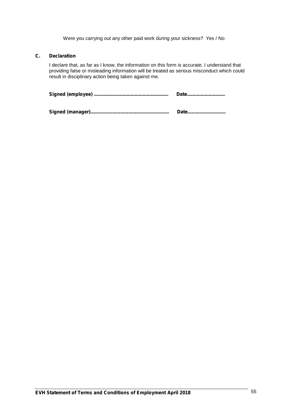Were you carrying out any other paid work during your sickness? Yes / No

#### **C. Declaration**

I declare that, as far as I know, the information on this form is accurate. I understand that providing false or misleading information will be treated as serious misconduct which could result in disciplinary action being taken against me.

| Date |
|------|
|      |